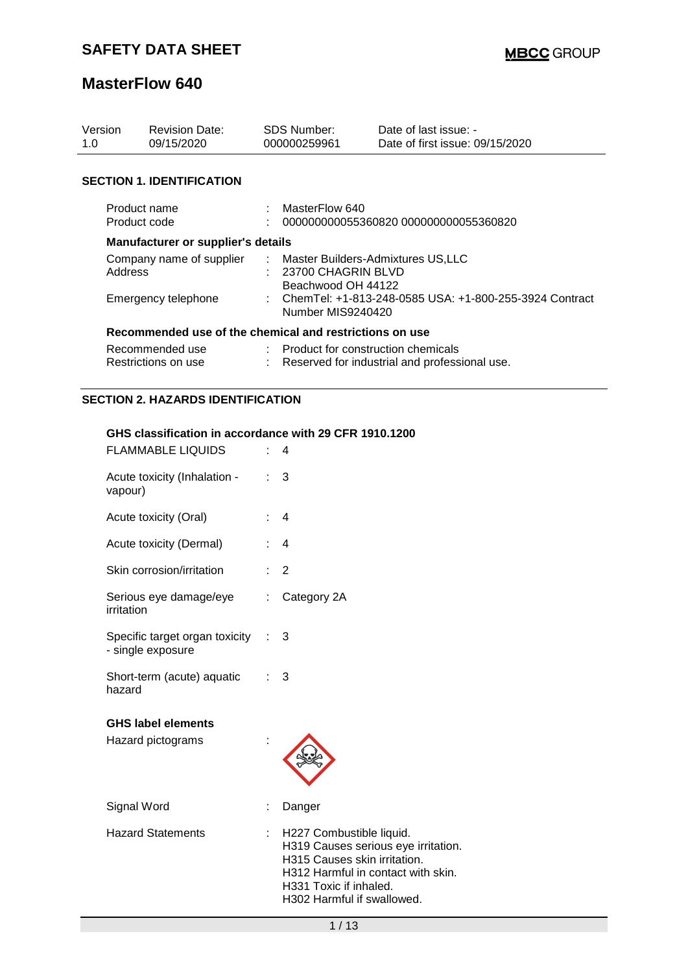| Version<br>1.0                                          | <b>Revision Date:</b><br>09/15/2020 |  | SDS Number:<br>000000259961                                                     | Date of last issue: -<br>Date of first issue: 09/15/2020 |  |  |
|---------------------------------------------------------|-------------------------------------|--|---------------------------------------------------------------------------------|----------------------------------------------------------|--|--|
|                                                         | <b>SECTION 1. IDENTIFICATION</b>    |  |                                                                                 |                                                          |  |  |
| Product name<br>Product code                            |                                     |  | MasterFlow 640<br>000000000055360820 000000000055360820                         |                                                          |  |  |
| Manufacturer or supplier's details                      |                                     |  |                                                                                 |                                                          |  |  |
| Company name of supplier<br>Address                     |                                     |  | : Master Builders-Admixtures US,LLC<br>23700 CHAGRIN BLVD<br>Beachwood OH 44122 |                                                          |  |  |
| Emergency telephone                                     |                                     |  | : ChemTel: +1-813-248-0585 USA: +1-800-255-3924 Contract<br>Number MIS9240420   |                                                          |  |  |
| Recommended use of the chemical and restrictions on use |                                     |  |                                                                                 |                                                          |  |  |
| Recommended use<br>Restrictions on use                  |                                     |  | Product for construction chemicals                                              | Reserved for industrial and professional use.            |  |  |

### **SECTION 2. HAZARDS IDENTIFICATION**

#### **GHS classification in accordance with 29 CFR 1910.1200**

| <b>FLAMMABLE LIQUIDS</b>                            |   | 4                                                                                                                                                                                             |
|-----------------------------------------------------|---|-----------------------------------------------------------------------------------------------------------------------------------------------------------------------------------------------|
| Acute toxicity (Inhalation -<br>vapour)             |   | 3                                                                                                                                                                                             |
| Acute toxicity (Oral)                               |   | $\overline{4}$                                                                                                                                                                                |
| Acute toxicity (Dermal)                             |   | $\overline{4}$                                                                                                                                                                                |
| Skin corrosion/irritation                           |   | $\overline{2}$                                                                                                                                                                                |
| Serious eye damage/eye<br>irritation                | ÷ | Category 2A                                                                                                                                                                                   |
| Specific target organ toxicity<br>- single exposure |   | 3                                                                                                                                                                                             |
| Short-term (acute) aquatic<br>hazard                |   | 3                                                                                                                                                                                             |
| <b>GHS label elements</b><br>Hazard pictograms      |   |                                                                                                                                                                                               |
| Signal Word                                         |   | Danger                                                                                                                                                                                        |
| <b>Hazard Statements</b>                            |   | H227 Combustible liquid.<br>H319 Causes serious eye irritation.<br>H315 Causes skin irritation.<br>H312 Harmful in contact with skin.<br>H331 Toxic if inhaled.<br>H302 Harmful if swallowed. |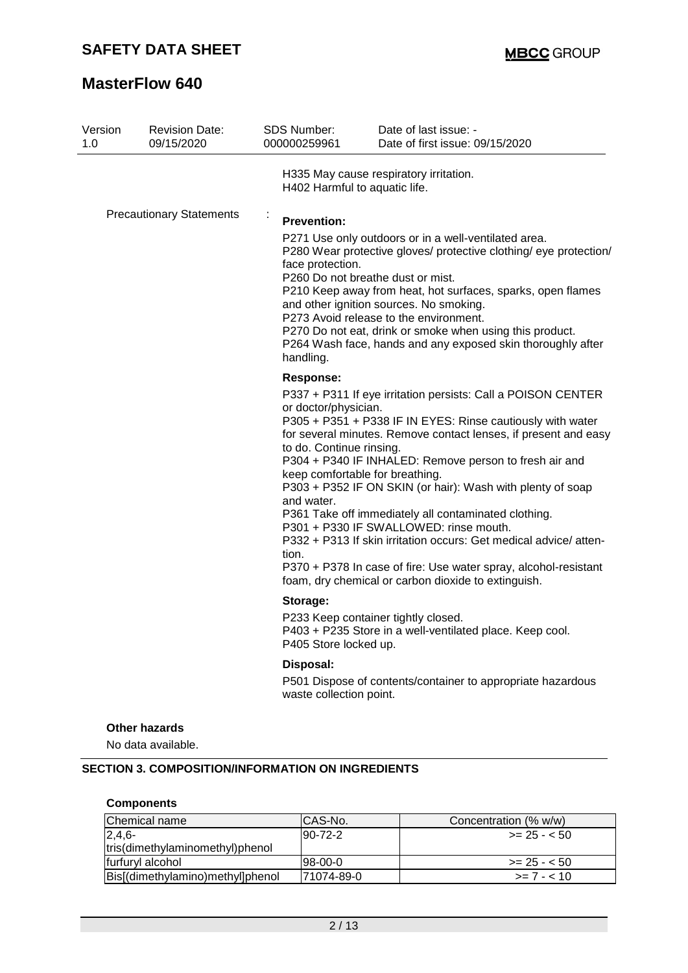| Version<br>1.0 | <b>Revision Date:</b><br>09/15/2020                                                                      | <b>SDS Number:</b><br>000000259961                                                                                                                                                                                                          | Date of last issue: -<br>Date of first issue: 09/15/2020                                                                                                                                                                                                                                                                                                                                                                                                                                                                                                                                                                                                 |  |
|----------------|----------------------------------------------------------------------------------------------------------|---------------------------------------------------------------------------------------------------------------------------------------------------------------------------------------------------------------------------------------------|----------------------------------------------------------------------------------------------------------------------------------------------------------------------------------------------------------------------------------------------------------------------------------------------------------------------------------------------------------------------------------------------------------------------------------------------------------------------------------------------------------------------------------------------------------------------------------------------------------------------------------------------------------|--|
|                |                                                                                                          | H402 Harmful to aquatic life.                                                                                                                                                                                                               | H335 May cause respiratory irritation.                                                                                                                                                                                                                                                                                                                                                                                                                                                                                                                                                                                                                   |  |
|                | <b>Precautionary Statements</b><br>$\blacksquare$<br><b>Prevention:</b><br>face protection.<br>handling. |                                                                                                                                                                                                                                             | P271 Use only outdoors or in a well-ventilated area.<br>P280 Wear protective gloves/ protective clothing/ eye protection/<br>P260 Do not breathe dust or mist.<br>P210 Keep away from heat, hot surfaces, sparks, open flames<br>and other ignition sources. No smoking.<br>P273 Avoid release to the environment.<br>P270 Do not eat, drink or smoke when using this product.<br>P264 Wash face, hands and any exposed skin thoroughly after                                                                                                                                                                                                            |  |
|                |                                                                                                          | <b>Response:</b><br>or doctor/physician.<br>to do. Continue rinsing.<br>and water.<br>tion.                                                                                                                                                 | P337 + P311 If eye irritation persists: Call a POISON CENTER<br>P305 + P351 + P338 IF IN EYES: Rinse cautiously with water<br>for several minutes. Remove contact lenses, if present and easy<br>P304 + P340 IF INHALED: Remove person to fresh air and<br>keep comfortable for breathing.<br>P303 + P352 IF ON SKIN (or hair): Wash with plenty of soap<br>P361 Take off immediately all contaminated clothing.<br>P301 + P330 IF SWALLOWED: rinse mouth.<br>P332 + P313 If skin irritation occurs: Get medical advice/atten-<br>P370 + P378 In case of fire: Use water spray, alcohol-resistant<br>foam, dry chemical or carbon dioxide to extinguish. |  |
|                |                                                                                                          | Storage:<br>P233 Keep container tightly closed.<br>P403 + P235 Store in a well-ventilated place. Keep cool.<br>P405 Store locked up.<br>Disposal:<br>P501 Dispose of contents/container to appropriate hazardous<br>waste collection point. |                                                                                                                                                                                                                                                                                                                                                                                                                                                                                                                                                                                                                                                          |  |
|                |                                                                                                          |                                                                                                                                                                                                                                             |                                                                                                                                                                                                                                                                                                                                                                                                                                                                                                                                                                                                                                                          |  |
|                | Other hazards<br>No data available.<br><b>SECTION 3. COMPOSITION/INFORMATION ON INGREDIENTS</b>          |                                                                                                                                                                                                                                             |                                                                                                                                                                                                                                                                                                                                                                                                                                                                                                                                                                                                                                                          |  |
|                | <b>Components</b>                                                                                        |                                                                                                                                                                                                                                             |                                                                                                                                                                                                                                                                                                                                                                                                                                                                                                                                                                                                                                                          |  |
|                | Chemical name                                                                                            | CAS-No.                                                                                                                                                                                                                                     | Concentration (% w/w)                                                                                                                                                                                                                                                                                                                                                                                                                                                                                                                                                                                                                                    |  |
| $246-$         |                                                                                                          | $90 - 72 - 2$                                                                                                                                                                                                                               | $-25 - 50$                                                                                                                                                                                                                                                                                                                                                                                                                                                                                                                                                                                                                                               |  |

| Chemical name                    | ICAS-No.    | Concentration (% w/w) |
|----------------------------------|-------------|-----------------------|
| $12.4.6 -$                       | $ 90-72-2 $ | $>= 25 - 50$          |
| tris(dimethylaminomethyl)phenol  |             |                       |
| furfuryl alcohol                 | $98-00-0$   | $>= 25 - 50$          |
| Bis[(dimethylamino)methyl]phenol | 171074-89-0 | $>= 7 - 10$           |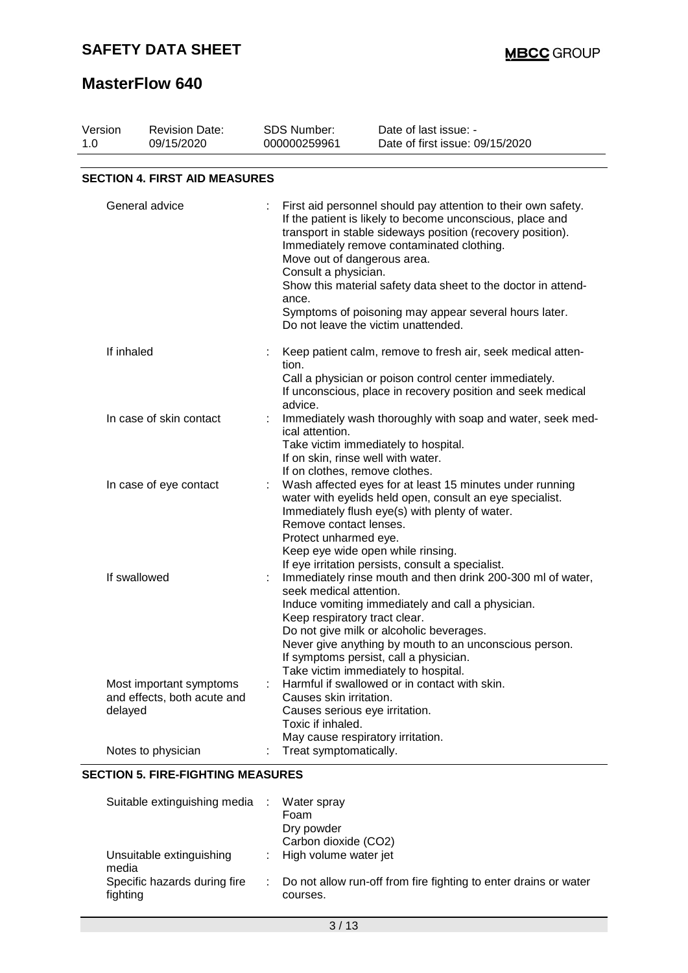## **SAFETY DATA SHEET**

## **MasterFlow 640**

| Version<br>1.0 | <b>Revision Date:</b><br>09/15/2020                    | <b>SDS Number:</b><br>000000259961              | Date of last issue: -<br>Date of first issue: 09/15/2020                                                                                                                                                                                                                                                                                                                                                                              |
|----------------|--------------------------------------------------------|-------------------------------------------------|---------------------------------------------------------------------------------------------------------------------------------------------------------------------------------------------------------------------------------------------------------------------------------------------------------------------------------------------------------------------------------------------------------------------------------------|
|                | <b>SECTION 4. FIRST AID MEASURES</b>                   |                                                 |                                                                                                                                                                                                                                                                                                                                                                                                                                       |
|                | General advice                                         | Consult a physician.<br>ance.                   | First aid personnel should pay attention to their own safety.<br>If the patient is likely to become unconscious, place and<br>transport in stable sideways position (recovery position).<br>Immediately remove contaminated clothing.<br>Move out of dangerous area.<br>Show this material safety data sheet to the doctor in attend-<br>Symptoms of poisoning may appear several hours later.<br>Do not leave the victim unattended. |
| If inhaled     |                                                        | tion.<br>advice.                                | Keep patient calm, remove to fresh air, seek medical atten-<br>Call a physician or poison control center immediately.<br>If unconscious, place in recovery position and seek medical                                                                                                                                                                                                                                                  |
|                | In case of skin contact                                | ical attention.                                 | Immediately wash thoroughly with soap and water, seek med-<br>Take victim immediately to hospital.<br>If on skin, rinse well with water.<br>If on clothes, remove clothes.                                                                                                                                                                                                                                                            |
|                | In case of eye contact                                 | Remove contact lenses.<br>Protect unharmed eye. | Wash affected eyes for at least 15 minutes under running<br>water with eyelids held open, consult an eye specialist.<br>Immediately flush eye(s) with plenty of water.<br>Keep eye wide open while rinsing.                                                                                                                                                                                                                           |
|                | If swallowed                                           | seek medical attention.                         | If eye irritation persists, consult a specialist.<br>Immediately rinse mouth and then drink 200-300 ml of water,<br>Induce vomiting immediately and call a physician.<br>Keep respiratory tract clear.<br>Do not give milk or alcoholic beverages.<br>Never give anything by mouth to an unconscious person.<br>If symptoms persist, call a physician.<br>Take victim immediately to hospital.                                        |
| delayed        | Most important symptoms<br>and effects, both acute and | Causes skin irritation.<br>Toxic if inhaled.    | Harmful if swallowed or in contact with skin.<br>Causes serious eye irritation.<br>May cause respiratory irritation.                                                                                                                                                                                                                                                                                                                  |
|                | Notes to physician                                     | Treat symptomatically.                          |                                                                                                                                                                                                                                                                                                                                                                                                                                       |

### **SECTION 5. FIRE-FIGHTING MEASURES**

| Suitable extinguishing media :           | Water spray<br>Foam<br>Dry powder<br>Carbon dioxide (CO2)                      |
|------------------------------------------|--------------------------------------------------------------------------------|
|                                          |                                                                                |
| Unsuitable extinguishing<br>media        | : High volume water jet                                                        |
| Specific hazards during fire<br>fighting | : Do not allow run-off from fire fighting to enter drains or water<br>courses. |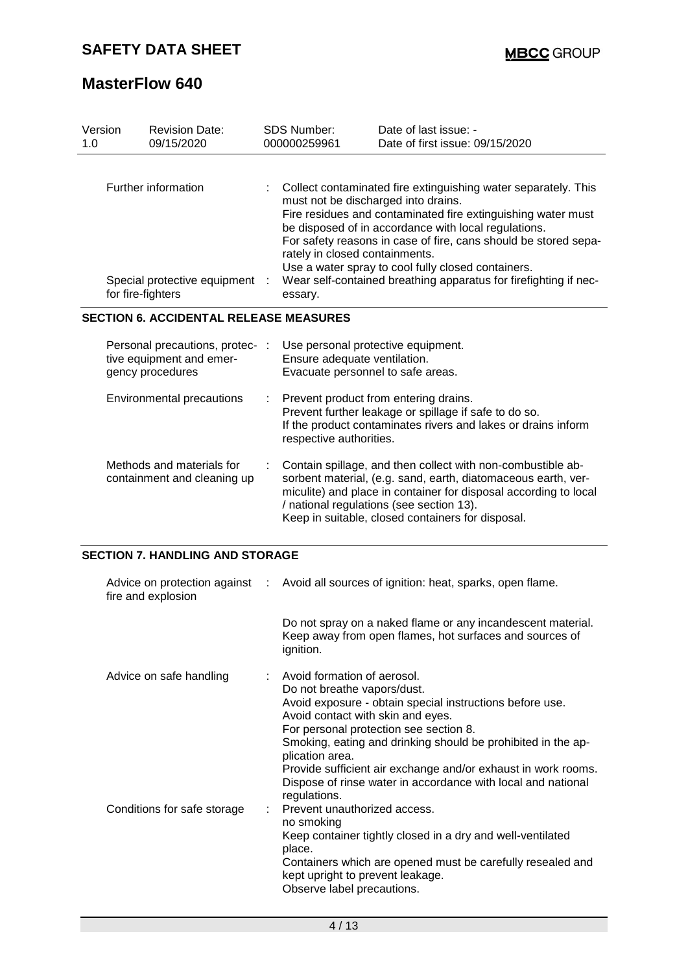| Version<br>1.0                                | <b>Revision Date:</b><br>09/15/2020                                             |   | <b>SDS Number:</b><br>000000259961                                                                                                                                                                                                                                                                                                                                                                                                                                      | Date of last issue: -<br>Date of first issue: 09/15/2020                                                                                                                                                                                                                                          |
|-----------------------------------------------|---------------------------------------------------------------------------------|---|-------------------------------------------------------------------------------------------------------------------------------------------------------------------------------------------------------------------------------------------------------------------------------------------------------------------------------------------------------------------------------------------------------------------------------------------------------------------------|---------------------------------------------------------------------------------------------------------------------------------------------------------------------------------------------------------------------------------------------------------------------------------------------------|
|                                               | Further information<br>Special protective equipment<br>for fire-fighters        |   | Collect contaminated fire extinguishing water separately. This<br>must not be discharged into drains.<br>Fire residues and contaminated fire extinguishing water must<br>be disposed of in accordance with local regulations.<br>For safety reasons in case of fire, cans should be stored sepa-<br>rately in closed containments.<br>Use a water spray to cool fully closed containers.<br>Wear self-contained breathing apparatus for firefighting if nec-<br>essary. |                                                                                                                                                                                                                                                                                                   |
| <b>SECTION 6. ACCIDENTAL RELEASE MEASURES</b> |                                                                                 |   |                                                                                                                                                                                                                                                                                                                                                                                                                                                                         |                                                                                                                                                                                                                                                                                                   |
|                                               | Personal precautions, protec- :<br>tive equipment and emer-<br>gency procedures |   | Use personal protective equipment.<br>Ensure adequate ventilation.<br>Evacuate personnel to safe areas.                                                                                                                                                                                                                                                                                                                                                                 |                                                                                                                                                                                                                                                                                                   |
|                                               | <b>Environmental precautions</b>                                                | ÷ | respective authorities.                                                                                                                                                                                                                                                                                                                                                                                                                                                 | Prevent product from entering drains.<br>Prevent further leakage or spillage if safe to do so.<br>If the product contaminates rivers and lakes or drains inform                                                                                                                                   |
|                                               | Methods and materials for<br>containment and cleaning up                        |   |                                                                                                                                                                                                                                                                                                                                                                                                                                                                         | Contain spillage, and then collect with non-combustible ab-<br>sorbent material, (e.g. sand, earth, diatomaceous earth, ver-<br>miculite) and place in container for disposal according to local<br>/ national regulations (see section 13).<br>Keep in suitable, closed containers for disposal. |

### **SECTION 7. HANDLING AND STORAGE**

| Advice on protection against :<br>fire and explosion | Avoid all sources of ignition: heat, sparks, open flame.                                                                                                                                                                                                                                                                                                                                                                                    |
|------------------------------------------------------|---------------------------------------------------------------------------------------------------------------------------------------------------------------------------------------------------------------------------------------------------------------------------------------------------------------------------------------------------------------------------------------------------------------------------------------------|
|                                                      | Do not spray on a naked flame or any incandescent material.<br>Keep away from open flames, hot surfaces and sources of<br>ignition.                                                                                                                                                                                                                                                                                                         |
| Advice on safe handling                              | : Avoid formation of aerosol.<br>Do not breathe vapors/dust.<br>Avoid exposure - obtain special instructions before use.<br>Avoid contact with skin and eyes.<br>For personal protection see section 8.<br>Smoking, eating and drinking should be prohibited in the ap-<br>plication area.<br>Provide sufficient air exchange and/or exhaust in work rooms.<br>Dispose of rinse water in accordance with local and national<br>regulations. |
| Conditions for safe storage                          | Prevent unauthorized access.<br>no smoking<br>Keep container tightly closed in a dry and well-ventilated<br>place.<br>Containers which are opened must be carefully resealed and<br>kept upright to prevent leakage.<br>Observe label precautions.                                                                                                                                                                                          |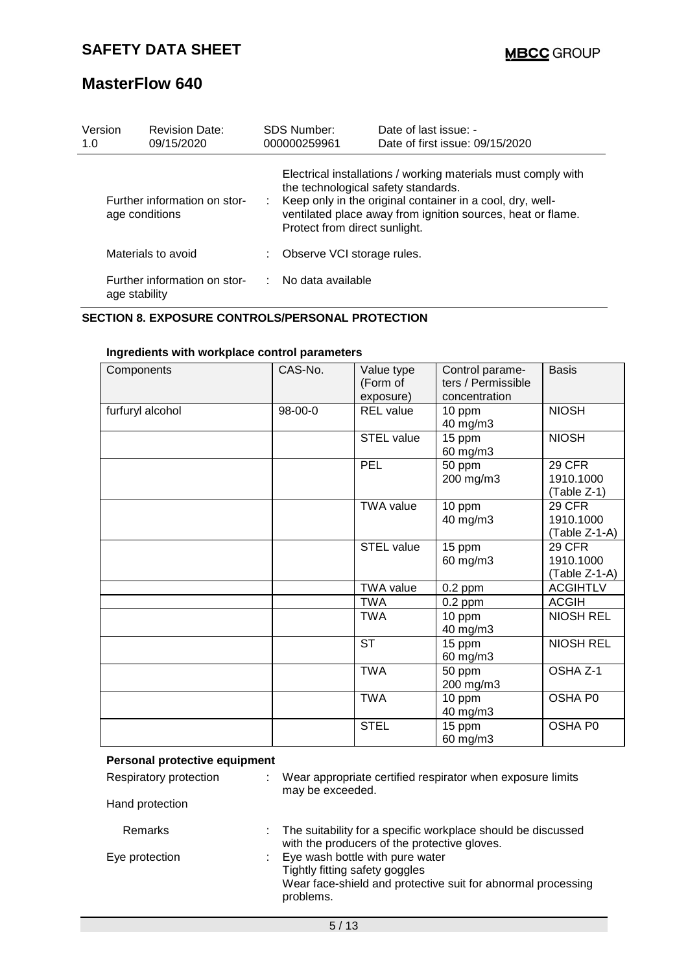| Version<br>1.0                                 | <b>Revision Date:</b><br>09/15/2020           | SDS Number:<br>000000259961                                                                                                                                                                                                                                       | Date of last issue: -<br>Date of first issue: 09/15/2020 |
|------------------------------------------------|-----------------------------------------------|-------------------------------------------------------------------------------------------------------------------------------------------------------------------------------------------------------------------------------------------------------------------|----------------------------------------------------------|
| Further information on stor-<br>age conditions |                                               | Electrical installations / working materials must comply with<br>the technological safety standards.<br>Keep only in the original container in a cool, dry, well-<br>ventilated place away from ignition sources, heat or flame.<br>Protect from direct sunlight. |                                                          |
|                                                | Materials to avoid                            | Observe VCI storage rules.                                                                                                                                                                                                                                        |                                                          |
|                                                | Further information on stor-<br>age stability | No data available                                                                                                                                                                                                                                                 |                                                          |

#### **SECTION 8. EXPOSURE CONTROLS/PERSONAL PROTECTION**

| Components       | CAS-No. | Value type<br>(Form of<br>exposure) | Control parame-<br>ters / Permissible<br>concentration | <b>Basis</b>                         |
|------------------|---------|-------------------------------------|--------------------------------------------------------|--------------------------------------|
| furfuryl alcohol | 98-00-0 | <b>REL</b> value                    | 10 ppm<br>40 mg/m3                                     | <b>NIOSH</b>                         |
|                  |         | STEL value                          | 15 ppm<br>60 mg/m3                                     | <b>NIOSH</b>                         |
|                  |         | PEL                                 | 50 ppm<br>200 mg/m3                                    | 29 CFR<br>1910.1000<br>$(Table Z-1)$ |
|                  |         | <b>TWA value</b>                    | 10 ppm<br>40 mg/m3                                     | 29 CFR<br>1910.1000<br>(Table Z-1-A) |
|                  |         | <b>STEL value</b>                   | 15 ppm<br>60 mg/m3                                     | 29 CFR<br>1910.1000<br>(Table Z-1-A) |
|                  |         | <b>TWA value</b>                    | $0.2$ ppm                                              | <b>ACGIHTLV</b>                      |
|                  |         | <b>TWA</b>                          | $0.2$ ppm                                              | <b>ACGIH</b>                         |
|                  |         | <b>TWA</b>                          | 10 ppm<br>40 mg/m3                                     | <b>NIOSH REL</b>                     |
|                  |         | <b>ST</b>                           | 15 ppm<br>60 mg/m3                                     | <b>NIOSH REL</b>                     |
|                  |         | <b>TWA</b>                          | 50 ppm<br>200 mg/m3                                    | OSHA Z-1                             |
|                  |         | <b>TWA</b>                          | 10 ppm<br>40 mg/m3                                     | OSHA P0                              |
|                  |         | <b>STEL</b>                         | 15 ppm<br>60 mg/m3                                     | OSHA P0                              |

### **Ingredients with workplace control parameters**

| Personal protective equipment |                                                                                                                                                  |
|-------------------------------|--------------------------------------------------------------------------------------------------------------------------------------------------|
| Respiratory protection        | Wear appropriate certified respirator when exposure limits<br>may be exceeded.                                                                   |
| Hand protection               |                                                                                                                                                  |
| Remarks                       | : The suitability for a specific workplace should be discussed<br>with the producers of the protective gloves.                                   |
| Eye protection                | : Eye wash bottle with pure water<br>Tightly fitting safety goggles<br>Wear face-shield and protective suit for abnormal processing<br>problems. |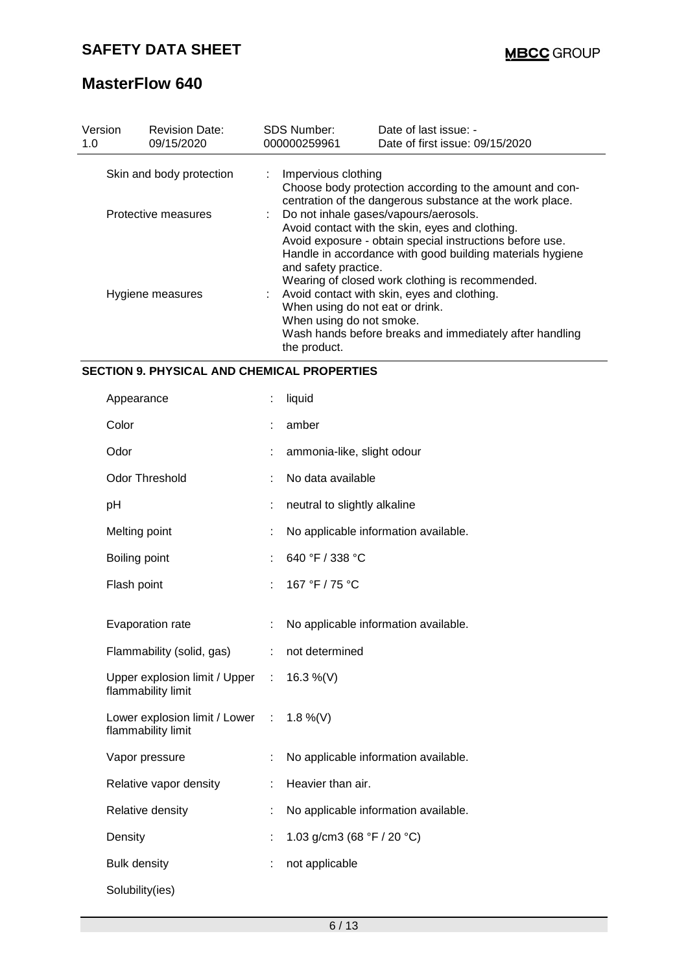| Version<br>1.0           | <b>Revision Date:</b><br>09/15/2020 | <b>SDS Number:</b><br>000000259961                                                                                                                                                                                                          | Date of last issue: -<br>Date of first issue: 09/15/2020                                                            |  |  |
|--------------------------|-------------------------------------|---------------------------------------------------------------------------------------------------------------------------------------------------------------------------------------------------------------------------------------------|---------------------------------------------------------------------------------------------------------------------|--|--|
| Skin and body protection |                                     | : Impervious clothing                                                                                                                                                                                                                       | Choose body protection according to the amount and con-<br>centration of the dangerous substance at the work place. |  |  |
| Protective measures      |                                     | : Do not inhale gases/vapours/aerosols.<br>Avoid contact with the skin, eyes and clothing.<br>Avoid exposure - obtain special instructions before use.<br>Handle in accordance with good building materials hygiene<br>and safety practice. |                                                                                                                     |  |  |
| Hygiene measures         |                                     | Wearing of closed work clothing is recommended.<br>Avoid contact with skin, eyes and clothing.<br>When using do not eat or drink.<br>When using do not smoke.<br>Wash hands before breaks and immediately after handling<br>the product.    |                                                                                                                     |  |  |

### **SECTION 9. PHYSICAL AND CHEMICAL PROPERTIES**

| Appearance                                            | t  | liquid                                       |
|-------------------------------------------------------|----|----------------------------------------------|
| Color                                                 |    | amber                                        |
| Odor                                                  | t  | ammonia-like, slight odour                   |
| <b>Odor Threshold</b>                                 | ÷  | No data available                            |
| pH                                                    | ÷  | neutral to slightly alkaline                 |
| Melting point                                         | t  | No applicable information available.         |
| Boiling point                                         | t, | 640 °F / 338 °C                              |
| Flash point                                           | ÷. | 167 °F / 75 °C                               |
| Evaporation rate                                      | t  | No applicable information available.         |
|                                                       |    |                                              |
| Flammability (solid, gas)                             | ÷  | not determined                               |
| Upper explosion limit / Upper :<br>flammability limit |    | 16.3 %(V)                                    |
| Lower explosion limit / Lower :<br>flammability limit |    | 1.8 %(V)                                     |
| Vapor pressure                                        | ÷  | No applicable information available.         |
| Relative vapor density                                | ÷  | Heavier than air.                            |
| Relative density                                      | t  | No applicable information available.         |
| Density                                               | t, | 1.03 g/cm3 (68 $\degree$ F / 20 $\degree$ C) |
| <b>Bulk density</b>                                   |    | not applicable                               |
| Solubility(ies)                                       |    |                                              |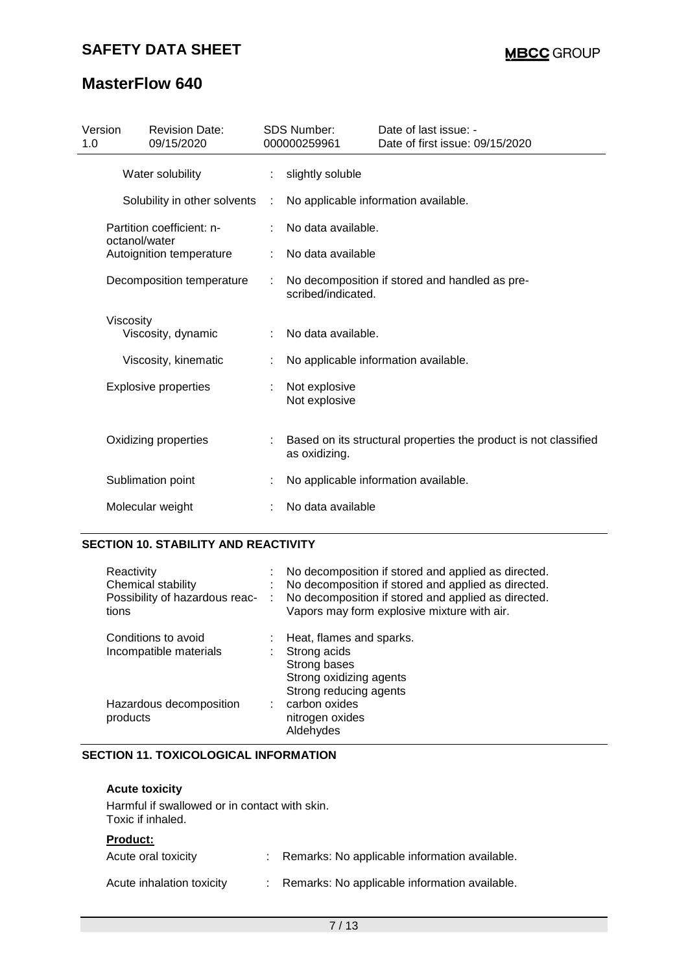| Version<br>1.0   | <b>Revision Date:</b><br>09/15/2020        |    | <b>SDS Number:</b><br>000000259961 | Date of last issue: -<br>Date of first issue: 09/15/2020         |
|------------------|--------------------------------------------|----|------------------------------------|------------------------------------------------------------------|
|                  | Water solubility                           | t. | slightly soluble                   |                                                                  |
|                  | Solubility in other solvents               | ÷  |                                    | No applicable information available.                             |
|                  | Partition coefficient: n-<br>octanol/water |    | No data available.                 |                                                                  |
|                  | Autoignition temperature                   |    | No data available                  |                                                                  |
|                  | Decomposition temperature                  |    | scribed/indicated.                 | No decomposition if stored and handled as pre-                   |
| <b>Viscosity</b> | Viscosity, dynamic                         |    | No data available.                 |                                                                  |
|                  | Viscosity, kinematic                       |    |                                    | No applicable information available.                             |
|                  | <b>Explosive properties</b>                |    | Not explosive<br>Not explosive     |                                                                  |
|                  | Oxidizing properties                       |    | as oxidizing.                      | Based on its structural properties the product is not classified |
|                  | Sublimation point                          |    |                                    | No applicable information available.                             |
|                  | Molecular weight                           |    | No data available                  |                                                                  |

## **SECTION 10. STABILITY AND REACTIVITY**

| Reactivity<br>Chemical stability<br>Possibility of hazardous reac-<br>tions | ÷<br>÷ | No decomposition if stored and applied as directed.<br>No decomposition if stored and applied as directed.<br>No decomposition if stored and applied as directed.<br>Vapors may form explosive mixture with air. |
|-----------------------------------------------------------------------------|--------|------------------------------------------------------------------------------------------------------------------------------------------------------------------------------------------------------------------|
| Conditions to avoid<br>Incompatible materials                               |        | Heat, flames and sparks.<br>Strong acids<br>Strong bases<br>Strong oxidizing agents<br>Strong reducing agents                                                                                                    |
| Hazardous decomposition<br>products                                         |        | carbon oxides<br>nitrogen oxides<br>Aldehydes                                                                                                                                                                    |

### **SECTION 11. TOXICOLOGICAL INFORMATION**

| <b>Acute toxicity</b>                                              |                                                 |
|--------------------------------------------------------------------|-------------------------------------------------|
| Harmful if swallowed or in contact with skin.<br>Toxic if inhaled. |                                                 |
| <b>Product:</b>                                                    |                                                 |
| Acute oral toxicity                                                | : Remarks: No applicable information available. |
| Acute inhalation toxicity                                          | : Remarks: No applicable information available. |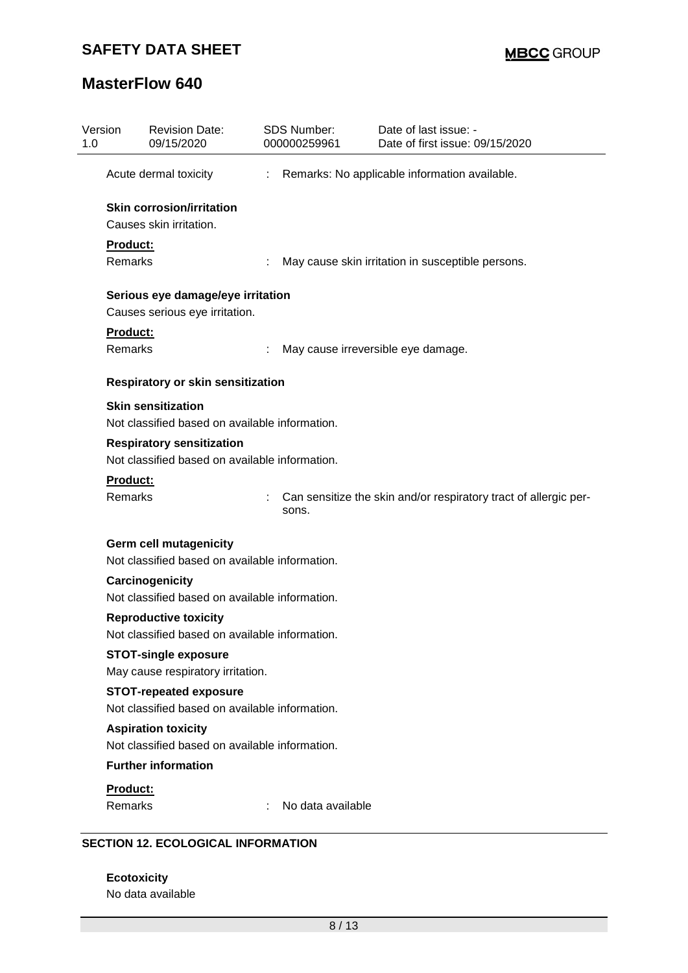| Version<br>1.0 | <b>Revision Date:</b><br>09/15/2020            | SDS Number:<br>000000259961 | Date of last issue: -<br>Date of first issue: 09/15/2020         |
|----------------|------------------------------------------------|-----------------------------|------------------------------------------------------------------|
|                | Acute dermal toxicity                          | ÷                           | Remarks: No applicable information available.                    |
|                | <b>Skin corrosion/irritation</b>               |                             |                                                                  |
|                | Causes skin irritation.                        |                             |                                                                  |
| Product:       |                                                |                             |                                                                  |
| <b>Remarks</b> |                                                |                             | May cause skin irritation in susceptible persons.                |
|                | Serious eye damage/eye irritation              |                             |                                                                  |
|                | Causes serious eye irritation.                 |                             |                                                                  |
| Product:       |                                                |                             |                                                                  |
| Remarks        |                                                |                             | May cause irreversible eye damage.                               |
|                | Respiratory or skin sensitization              |                             |                                                                  |
|                | <b>Skin sensitization</b>                      |                             |                                                                  |
|                | Not classified based on available information. |                             |                                                                  |
|                | <b>Respiratory sensitization</b>               |                             |                                                                  |
|                | Not classified based on available information. |                             |                                                                  |
| Product:       |                                                |                             |                                                                  |
| Remarks        |                                                | sons.                       | Can sensitize the skin and/or respiratory tract of allergic per- |
|                | <b>Germ cell mutagenicity</b>                  |                             |                                                                  |
|                | Not classified based on available information. |                             |                                                                  |
|                | Carcinogenicity                                |                             |                                                                  |
|                | Not classified based on available information. |                             |                                                                  |
|                | <b>Reproductive toxicity</b>                   |                             |                                                                  |
|                | Not classified based on available information. |                             |                                                                  |
|                | <b>STOT-single exposure</b>                    |                             |                                                                  |
|                | May cause respiratory irritation.              |                             |                                                                  |
|                | <b>STOT-repeated exposure</b>                  |                             |                                                                  |
|                | Not classified based on available information. |                             |                                                                  |
|                | <b>Aspiration toxicity</b>                     |                             |                                                                  |
|                | Not classified based on available information. |                             |                                                                  |
|                | <b>Further information</b>                     |                             |                                                                  |
|                |                                                |                             |                                                                  |
| Product:       |                                                |                             |                                                                  |

**Ecotoxicity** No data available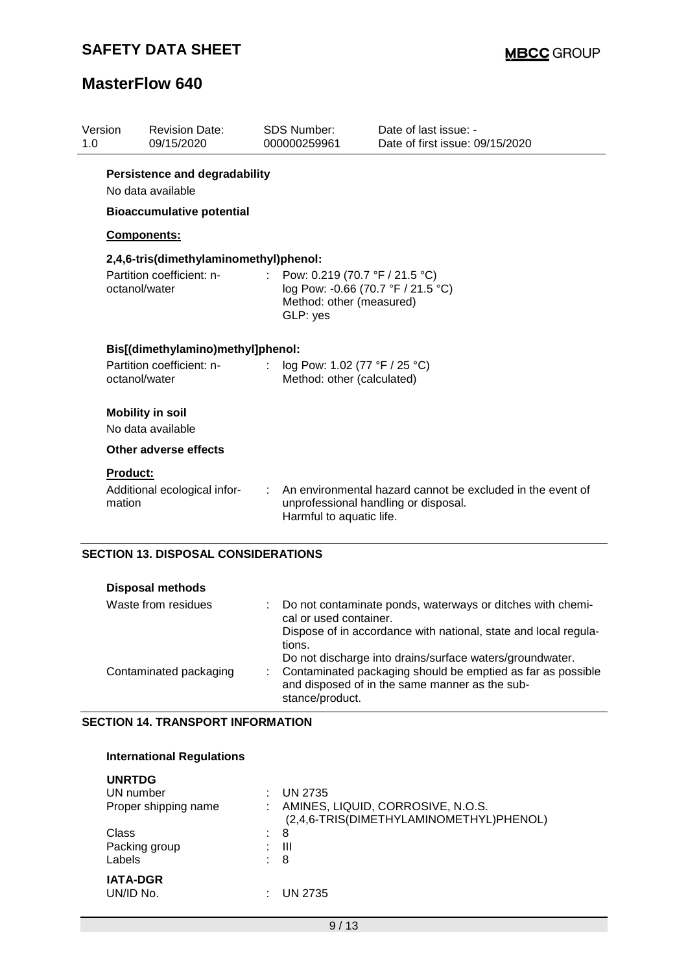| <b>Revision Date:</b><br>09/15/2020        | <b>SDS Number:</b><br>000000259961                              | Date of last issue: -<br>Date of first issue: 09/15/2020                                                                                                |
|--------------------------------------------|-----------------------------------------------------------------|---------------------------------------------------------------------------------------------------------------------------------------------------------|
|                                            |                                                                 |                                                                                                                                                         |
|                                            |                                                                 |                                                                                                                                                         |
| Components:                                |                                                                 |                                                                                                                                                         |
|                                            |                                                                 |                                                                                                                                                         |
| Partition coefficient: n-<br>octanol/water | t.<br>Method: other (measured)<br>GLP: yes                      | Pow: 0.219 (70.7 °F / 21.5 °C)<br>log Pow: -0.66 (70.7 °F / 21.5 °C)                                                                                    |
|                                            |                                                                 |                                                                                                                                                         |
| Partition coefficient: n-<br>octanol/water | : $log Pow: 1.02 (77 °F / 25 °C)$<br>Method: other (calculated) |                                                                                                                                                         |
| <b>Mobility in soil</b>                    |                                                                 |                                                                                                                                                         |
| No data available                          |                                                                 |                                                                                                                                                         |
| <b>Other adverse effects</b>               |                                                                 |                                                                                                                                                         |
| <b>Product:</b>                            |                                                                 |                                                                                                                                                         |
| Additional ecological infor-<br>mation     | Harmful to aquatic life.                                        | An environmental hazard cannot be excluded in the event of<br>unprofessional handling or disposal.                                                      |
|                                            | No data available                                               | <b>Persistence and degradability</b><br><b>Bioaccumulative potential</b><br>2,4,6-tris(dimethylaminomethyl)phenol:<br>Bis[(dimethylamino)methyl]phenol: |

### **SECTION 13. DISPOSAL CONSIDERATIONS**

| <b>Disposal methods</b> |                                                                                                                                  |
|-------------------------|----------------------------------------------------------------------------------------------------------------------------------|
| Waste from residues     | Do not contaminate ponds, waterways or ditches with chemi-<br>cal or used container.                                             |
|                         | Dispose of in accordance with national, state and local regula-<br>tions.                                                        |
|                         | Do not discharge into drains/surface waters/groundwater.                                                                         |
| Contaminated packaging  | Contaminated packaging should be emptied as far as possible<br>and disposed of in the same manner as the sub-<br>stance/product. |

### **SECTION 14. TRANSPORT INFORMATION**

### **International Regulations**

| <b>UN 2735</b>                                                               |
|------------------------------------------------------------------------------|
| AMINES, LIQUID, CORROSIVE, N.O.S.<br>(2,4,6-TRIS(DIMETHYLAMINOMETHYL)PHENOL) |
| 8                                                                            |
| Ш                                                                            |
| -8                                                                           |
|                                                                              |
| <b>UN 2735</b>                                                               |
|                                                                              |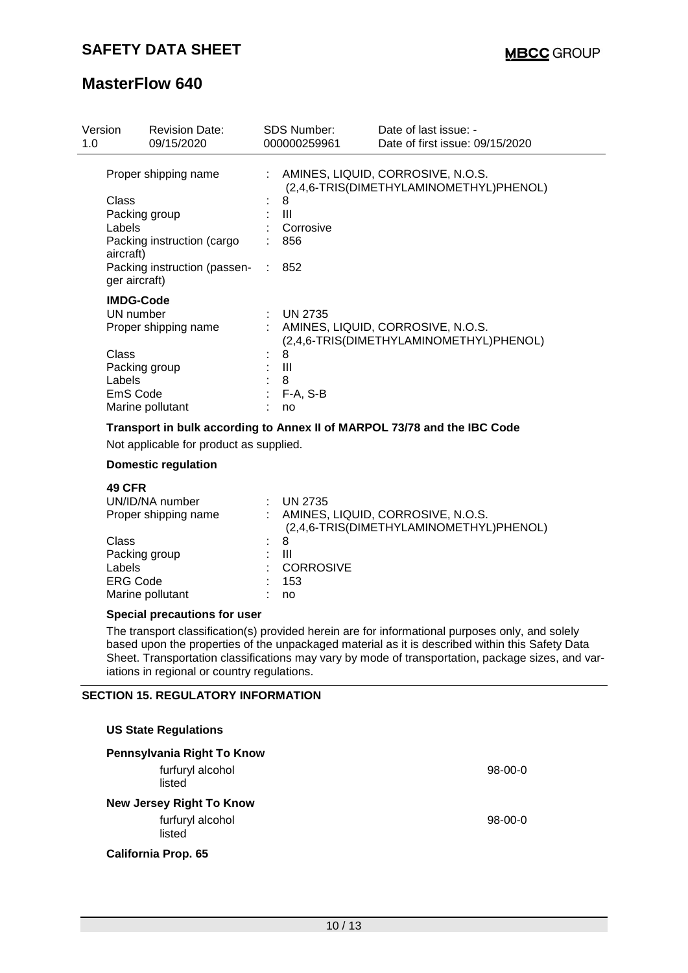| Version<br>1.0                                               | <b>Revision Date:</b><br>09/15/2020                                                                 |   | <b>SDS Number:</b><br>000000259961                | Date of last issue: -<br>Date of first issue: 09/15/2020                     |
|--------------------------------------------------------------|-----------------------------------------------------------------------------------------------------|---|---------------------------------------------------|------------------------------------------------------------------------------|
| Class<br>Labels<br>aircraft)<br>ger aircraft)                | Proper shipping name<br>Packing group<br>Packing instruction (cargo<br>Packing instruction (passen- |   | 8<br>Ш<br>Corrosive<br>856<br>852                 | AMINES, LIQUID, CORROSIVE, N.O.S.<br>(2,4,6-TRIS(DIMETHYLAMINOMETHYL)PHENOL) |
| <b>IMDG-Code</b><br>UN number<br>Class<br>Labels<br>EmS Code | Proper shipping name<br>Packing group<br>Marine pollutant                                           | ÷ | <b>UN 2735</b><br>8<br>Ш<br>8<br>$F-A, S-B$<br>no | AMINES, LIQUID, CORROSIVE, N.O.S.<br>(2,4,6-TRIS(DIMETHYLAMINOMETHYL)PHENOL) |

## **Transport in bulk according to Annex II of MARPOL 73/78 and the IBC Code**

Not applicable for product as supplied.

### **Domestic regulation**

| <b>49 CFR</b><br>UN/ID/NA number<br>Proper shipping name | <b>UN 2735</b><br>AMINES, LIQUID, CORROSIVE, N.O.S.<br>(2,4,6-TRIS(DIMETHYLAMINOMETHYL)PHENOL) |
|----------------------------------------------------------|------------------------------------------------------------------------------------------------|
| Class<br>t.                                              | -8                                                                                             |
| Packing group                                            | Ш                                                                                              |
| Labels                                                   | <b>CORROSIVE</b>                                                                               |
| <b>ERG Code</b>                                          | 153                                                                                            |
| Marine pollutant                                         | no                                                                                             |

#### **Special precautions for user**

The transport classification(s) provided herein are for informational purposes only, and solely based upon the properties of the unpackaged material as it is described within this Safety Data Sheet. Transportation classifications may vary by mode of transportation, package sizes, and variations in regional or country regulations.

#### **SECTION 15. REGULATORY INFORMATION**

| <b>US State Regulations</b>     |           |
|---------------------------------|-----------|
| Pennsylvania Right To Know      |           |
| furfuryl alcohol<br>listed      | $98-00-0$ |
| <b>New Jersey Right To Know</b> |           |
| furfuryl alcohol<br>listed      | $98-00-0$ |
| <b>California Prop. 65</b>      |           |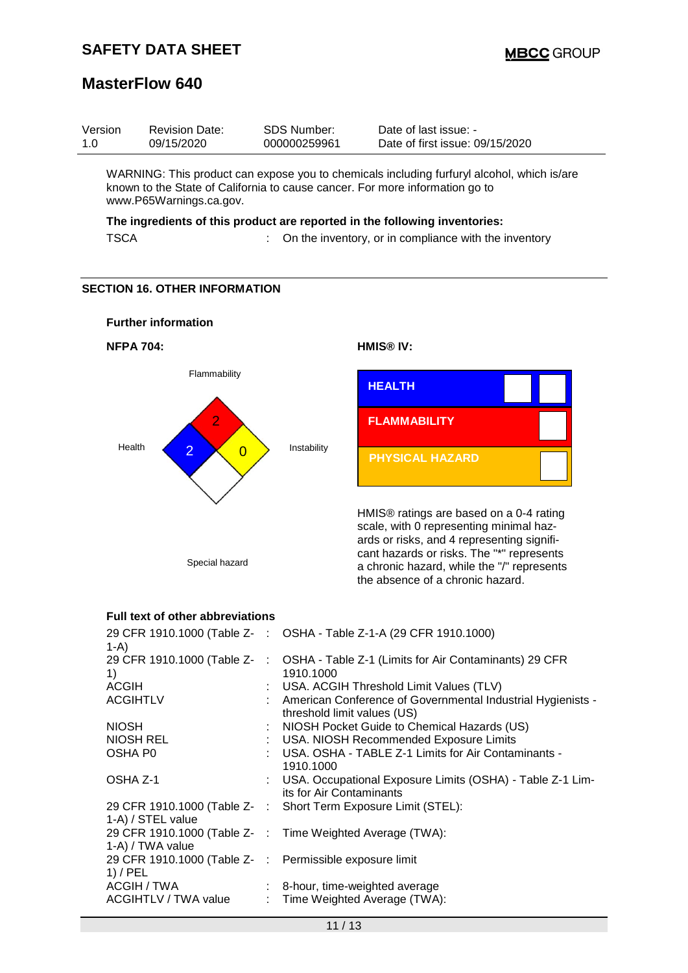| Version | <b>Revision Date:</b> | SDS Number:  | Date of last issue: -           |
|---------|-----------------------|--------------|---------------------------------|
| 1.0     | 09/15/2020            | 000000259961 | Date of first issue: 09/15/2020 |

WARNING: This product can expose you to chemicals including furfuryl alcohol, which is/are known to the State of California to cause cancer. For more information go to www.P65Warnings.ca.gov.

### **The ingredients of this product are reported in the following inventories:**

TSCA : On the inventory, or in compliance with the inventory

#### **SECTION 16. OTHER INFORMATION**



#### **Full text of other abbreviations**

| $1-A$                                                                 | 29 CFR 1910.1000 (Table Z- : OSHA - Table Z-1-A (29 CFR 1910.1000)                              |
|-----------------------------------------------------------------------|-------------------------------------------------------------------------------------------------|
| 1)                                                                    | 29 CFR 1910.1000 (Table Z- : OSHA - Table Z-1 (Limits for Air Contaminants) 29 CFR<br>1910.1000 |
| <b>ACGIH</b>                                                          | : USA. ACGIH Threshold Limit Values (TLV)                                                       |
| <b>ACGIHTLV</b>                                                       | : American Conference of Governmental Industrial Hygienists -<br>threshold limit values (US)    |
| <b>NIOSH</b>                                                          | : NIOSH Pocket Guide to Chemical Hazards (US)                                                   |
| NIOSH REL                                                             | : USA. NIOSH Recommended Exposure Limits                                                        |
| OSHA P0                                                               | : USA. OSHA - TABLE Z-1 Limits for Air Contaminants -<br>1910.1000                              |
| OSHA Z-1                                                              | : USA. Occupational Exposure Limits (OSHA) - Table Z-1 Lim-<br>its for Air Contaminants         |
| 1-A) / STEL value                                                     | 29 CFR 1910.1000 (Table Z-: Short Term Exposure Limit (STEL):                                   |
| 1-A) / TWA value                                                      | 29 CFR 1910.1000 (Table Z- : Time Weighted Average (TWA):                                       |
| 29 CFR 1910.1000 (Table Z- : Permissible exposure limit<br>$1)$ / PEL |                                                                                                 |
| ACGIH / TWA                                                           | : 8-hour, time-weighted average                                                                 |
| ACGIHTLV / TWA value                                                  | : Time Weighted Average (TWA):                                                                  |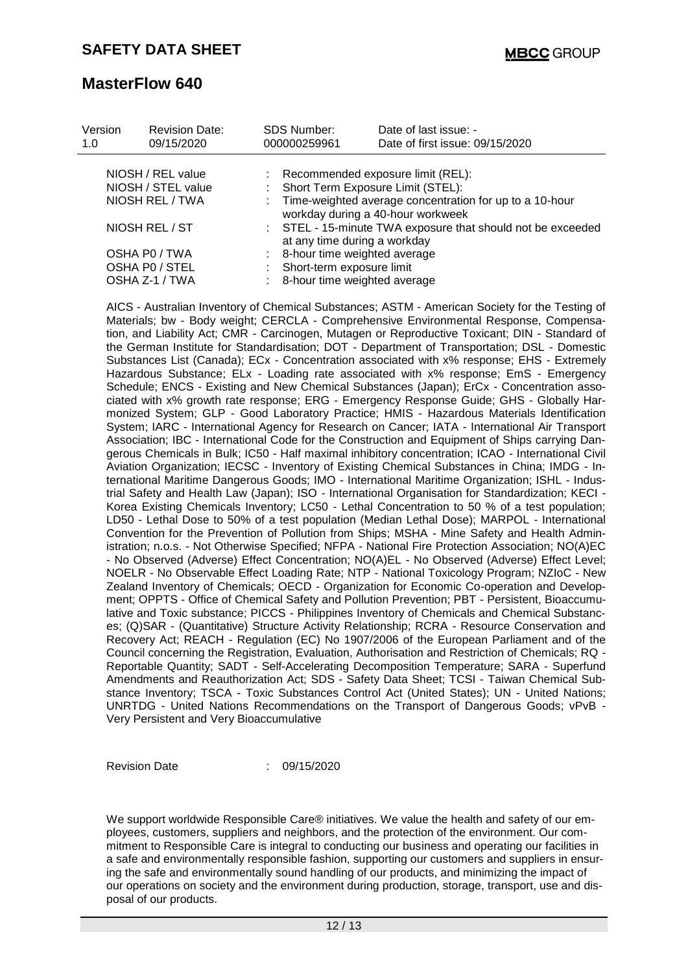| Version<br>1.0 | <b>Revision Date:</b><br>09/15/2020     | <b>SDS Number:</b><br>000000259961                                                             | Date of last issue: -<br>Date of first issue: 09/15/2020 |  |  |  |
|----------------|-----------------------------------------|------------------------------------------------------------------------------------------------|----------------------------------------------------------|--|--|--|
|                | NIOSH / REL value<br>NIOSH / STEL value | : Short Term Exposure Limit (STEL):                                                            | : Recommended exposure limit (REL):                      |  |  |  |
|                | NIOSH REL / TWA                         | : Time-weighted average concentration for up to a 10-hour<br>workday during a 40-hour workweek |                                                          |  |  |  |
|                | NIOSH REL / ST                          | : STEL - 15-minute TWA exposure that should not be exceeded<br>at any time during a workday    |                                                          |  |  |  |
|                | OSHA PO / TWA                           | : 8-hour time weighted average                                                                 |                                                          |  |  |  |
|                | OSHA PO / STEL                          | Short-term exposure limit                                                                      |                                                          |  |  |  |
|                | OSHA Z-1 / TWA                          | : 8-hour time weighted average                                                                 |                                                          |  |  |  |

AICS - Australian Inventory of Chemical Substances; ASTM - American Society for the Testing of Materials; bw - Body weight; CERCLA - Comprehensive Environmental Response, Compensation, and Liability Act; CMR - Carcinogen, Mutagen or Reproductive Toxicant; DIN - Standard of the German Institute for Standardisation; DOT - Department of Transportation; DSL - Domestic Substances List (Canada); ECx - Concentration associated with x% response; EHS - Extremely Hazardous Substance; ELx - Loading rate associated with x% response; EmS - Emergency Schedule; ENCS - Existing and New Chemical Substances (Japan); ErCx - Concentration associated with x% growth rate response; ERG - Emergency Response Guide; GHS - Globally Harmonized System; GLP - Good Laboratory Practice; HMIS - Hazardous Materials Identification System; IARC - International Agency for Research on Cancer; IATA - International Air Transport Association; IBC - International Code for the Construction and Equipment of Ships carrying Dangerous Chemicals in Bulk; IC50 - Half maximal inhibitory concentration; ICAO - International Civil Aviation Organization; IECSC - Inventory of Existing Chemical Substances in China; IMDG - International Maritime Dangerous Goods; IMO - International Maritime Organization; ISHL - Industrial Safety and Health Law (Japan); ISO - International Organisation for Standardization; KECI - Korea Existing Chemicals Inventory; LC50 - Lethal Concentration to 50 % of a test population; LD50 - Lethal Dose to 50% of a test population (Median Lethal Dose); MARPOL - International Convention for the Prevention of Pollution from Ships; MSHA - Mine Safety and Health Administration; n.o.s. - Not Otherwise Specified; NFPA - National Fire Protection Association; NO(A)EC - No Observed (Adverse) Effect Concentration; NO(A)EL - No Observed (Adverse) Effect Level; NOELR - No Observable Effect Loading Rate; NTP - National Toxicology Program; NZIoC - New Zealand Inventory of Chemicals; OECD - Organization for Economic Co-operation and Development; OPPTS - Office of Chemical Safety and Pollution Prevention; PBT - Persistent, Bioaccumulative and Toxic substance; PICCS - Philippines Inventory of Chemicals and Chemical Substances; (Q)SAR - (Quantitative) Structure Activity Relationship; RCRA - Resource Conservation and Recovery Act; REACH - Regulation (EC) No 1907/2006 of the European Parliament and of the Council concerning the Registration, Evaluation, Authorisation and Restriction of Chemicals; RQ - Reportable Quantity; SADT - Self-Accelerating Decomposition Temperature; SARA - Superfund Amendments and Reauthorization Act; SDS - Safety Data Sheet; TCSI - Taiwan Chemical Substance Inventory; TSCA - Toxic Substances Control Act (United States); UN - United Nations; UNRTDG - United Nations Recommendations on the Transport of Dangerous Goods; vPvB - Very Persistent and Very Bioaccumulative

Revision Date : 09/15/2020

We support worldwide Responsible Care® initiatives. We value the health and safety of our employees, customers, suppliers and neighbors, and the protection of the environment. Our commitment to Responsible Care is integral to conducting our business and operating our facilities in a safe and environmentally responsible fashion, supporting our customers and suppliers in ensuring the safe and environmentally sound handling of our products, and minimizing the impact of our operations on society and the environment during production, storage, transport, use and disposal of our products.